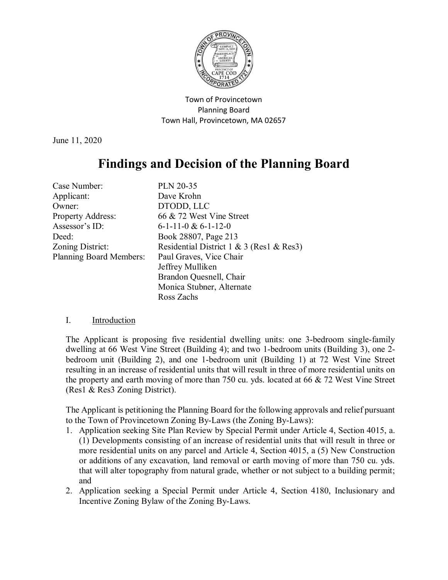

Town of Provincetown Planning Board Town Hall, Provincetown, MA 02657

June 11, 2020

# **Findings and Decision of the Planning Board**

| Case Number:                   | <b>PLN 20-35</b>                         |
|--------------------------------|------------------------------------------|
| Applicant:                     | Dave Krohn                               |
| Owner:                         | DTODD, LLC                               |
| <b>Property Address:</b>       | 66 & 72 West Vine Street                 |
| Assessor's ID:                 | $6-1-11-0 & 6-1-12-0$                    |
| Deed:                          | Book 28807, Page 213                     |
| Zoning District:               | Residential District 1 & 3 (Res1 & Res3) |
| <b>Planning Board Members:</b> | Paul Graves, Vice Chair                  |
|                                | Jeffrey Mulliken                         |
|                                | Brandon Quesnell, Chair                  |
|                                | Monica Stubner, Alternate                |
|                                | Ross Zachs                               |

## I. Introduction

The Applicant is proposing five residential dwelling units: one 3-bedroom single-family dwelling at 66 West Vine Street (Building 4); and two 1-bedroom units (Building 3), one 2 bedroom unit (Building 2), and one 1-bedroom unit (Building 1) at 72 West Vine Street resulting in an increase of residential units that will result in three of more residential units on the property and earth moving of more than 750 cu. yds. located at 66 & 72 West Vine Street (Res1 & Res3 Zoning District).

The Applicant is petitioning the Planning Board for the following approvals and relief pursuant to the Town of Provincetown Zoning By-Laws (the Zoning By-Laws):

- 1. Application seeking Site Plan Review by Special Permit under Article 4, Section 4015, a. (1) Developments consisting of an increase of residential units that will result in three or more residential units on any parcel and Article 4, Section 4015, a (5) New Construction or additions of any excavation, land removal or earth moving of more than 750 cu. yds. that will alter topography from natural grade, whether or not subject to a building permit; and
- 2. Application seeking a Special Permit under Article 4, Section 4180, Inclusionary and Incentive Zoning Bylaw of the Zoning By-Laws.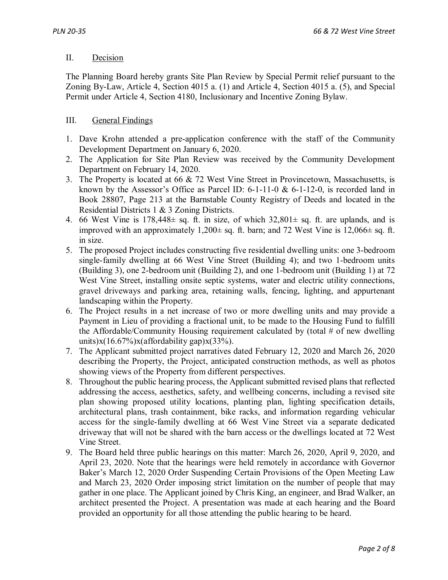#### II. Decision

The Planning Board hereby grants Site Plan Review by Special Permit relief pursuant to the Zoning By-Law, Article 4, Section 4015 a. (1) and Article 4, Section 4015 a. (5), and Special Permit under Article 4, Section 4180, Inclusionary and Incentive Zoning Bylaw.

## III. General Findings

- 1. Dave Krohn attended a pre-application conference with the staff of the Community Development Department on January 6, 2020.
- 2. The Application for Site Plan Review was received by the Community Development Department on February 14, 2020.
- 3. The Property is located at 66 & 72 West Vine Street in Provincetown, Massachusetts, is known by the Assessor's Office as Parcel ID: 6-1-11-0 & 6-1-12-0, is recorded land in Book 28807, Page 213 at the Barnstable County Registry of Deeds and located in the Residential Districts 1 & 3 Zoning Districts.
- 4. 66 West Vine is  $178,448 \pm$  sq. ft. in size, of which  $32,801 \pm$  sq. ft. are uplands, and is improved with an approximately  $1,200 \pm$  sq. ft. barn; and 72 West Vine is  $12,066 \pm$  sq. ft. in size.
- 5. The proposed Project includes constructing five residential dwelling units: one 3-bedroom single-family dwelling at 66 West Vine Street (Building 4); and two 1-bedroom units (Building 3), one 2-bedroom unit (Building 2), and one 1-bedroom unit (Building 1) at 72 West Vine Street, installing onsite septic systems, water and electric utility connections, gravel driveways and parking area, retaining walls, fencing, lighting, and appurtenant landscaping within the Property.
- 6. The Project results in a net increase of two or more dwelling units and may provide a Payment in Lieu of providing a fractional unit, to be made to the Housing Fund to fulfill the Affordable/Community Housing requirement calculated by (total  $#$  of new dwelling units) $x(16.67\%)x(affordability gap)x(33\%).$
- 7. The Applicant submitted project narratives dated February 12, 2020 and March 26, 2020 describing the Property, the Project, anticipated construction methods, as well as photos showing views of the Property from different perspectives.
- 8. Throughout the public hearing process, the Applicant submitted revised plans that reflected addressing the access, aesthetics, safety, and wellbeing concerns, including a revised site plan showing proposed utility locations, planting plan, lighting specification details, architectural plans, trash containment, bike racks, and information regarding vehicular access for the single-family dwelling at 66 West Vine Street via a separate dedicated driveway that will not be shared with the barn access or the dwellings located at 72 West Vine Street.
- 9. The Board held three public hearings on this matter: March 26, 2020, April 9, 2020, and April 23, 2020. Note that the hearings were held remotely in accordance with Governor Baker's March 12, 2020 Order Suspending Certain Provisions of the Open Meeting Law and March 23, 2020 Order imposing strict limitation on the number of people that may gather in one place. The Applicant joined by Chris King, an engineer, and Brad Walker, an architect presented the Project. A presentation was made at each hearing and the Board provided an opportunity for all those attending the public hearing to be heard.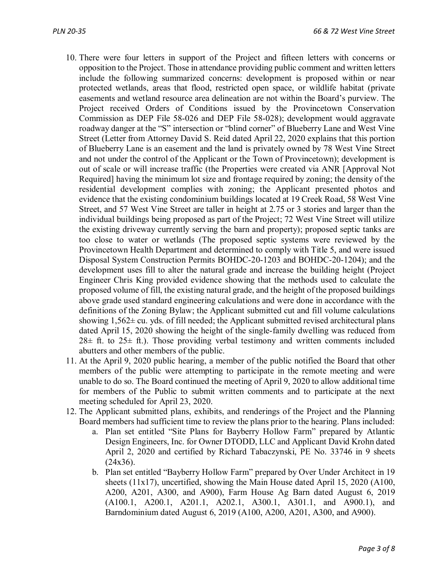- 10. There were four letters in support of the Project and fifteen letters with concerns or opposition to the Project. Those in attendance providing public comment and written letters include the following summarized concerns: development is proposed within or near protected wetlands, areas that flood, restricted open space, or wildlife habitat (private easements and wetland resource area delineation are not within the Board's purview. The Project received Orders of Conditions issued by the Provincetown Conservation Commission as DEP File 58-026 and DEP File 58-028); development would aggravate roadway danger at the "S" intersection or "blind corner" of Blueberry Lane and West Vine Street (Letter from Attorney David S. Reid dated April 22, 2020 explains that this portion of Blueberry Lane is an easement and the land is privately owned by 78 West Vine Street and not under the control of the Applicant or the Town of Provincetown); development is out of scale or will increase traffic (the Properties were created via ANR [Approval Not Required] having the minimum lot size and frontage required by zoning; the density of the residential development complies with zoning; the Applicant presented photos and evidence that the existing condominium buildings located at 19 Creek Road, 58 West Vine Street, and 57 West Vine Street are taller in height at 2.75 or 3 stories and larger than the individual buildings being proposed as part of the Project; 72 West Vine Street will utilize the existing driveway currently serving the barn and property); proposed septic tanks are too close to water or wetlands (The proposed septic systems were reviewed by the Provincetown Health Department and determined to comply with Title 5, and were issued Disposal System Construction Permits BOHDC-20-1203 and BOHDC-20-1204); and the development uses fill to alter the natural grade and increase the building height (Project Engineer Chris King provided evidence showing that the methods used to calculate the proposed volume of fill, the existing natural grade, and the height of the proposed buildings above grade used standard engineering calculations and were done in accordance with the definitions of the Zoning Bylaw; the Applicant submitted cut and fill volume calculations showing  $1,562\pm$  cu. yds. of fill needed; the Applicant submitted revised architectural plans dated April 15, 2020 showing the height of the single-family dwelling was reduced from  $28\pm$  ft. to  $25\pm$  ft.). Those providing verbal testimony and written comments included abutters and other members of the public.
- 11. At the April 9, 2020 public hearing, a member of the public notified the Board that other members of the public were attempting to participate in the remote meeting and were unable to do so. The Board continued the meeting of April 9, 2020 to allow additional time for members of the Public to submit written comments and to participate at the next meeting scheduled for April 23, 2020.
- 12. The Applicant submitted plans, exhibits, and renderings of the Project and the Planning Board members had sufficient time to review the plans prior to the hearing. Plans included:
	- a. Plan set entitled "Site Plans for Bayberry Hollow Farm" prepared by Atlantic Design Engineers, Inc. for Owner DTODD, LLC and Applicant David Krohn dated April 2, 2020 and certified by Richard Tabaczynski, PE No. 33746 in 9 sheets (24x36).
	- b. Plan set entitled "Bayberry Hollow Farm" prepared by Over Under Architect in 19 sheets (11x17), uncertified, showing the Main House dated April 15, 2020 (A100, A200, A201, A300, and A900), Farm House Ag Barn dated August 6, 2019 (A100.1, A200.1, A201.1, A202.1, A300.1, A301.1, and A900.1), and Barndominium dated August 6, 2019 (A100, A200, A201, A300, and A900).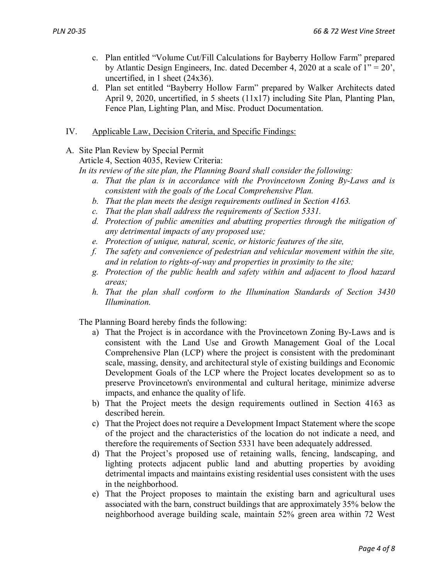- c. Plan entitled "Volume Cut/Fill Calculations for Bayberry Hollow Farm" prepared by Atlantic Design Engineers, Inc. dated December 4, 2020 at a scale of  $1" = 20'$ , uncertified, in 1 sheet (24x36).
- d. Plan set entitled "Bayberry Hollow Farm" prepared by Walker Architects dated April 9, 2020, uncertified, in 5 sheets (11x17) including Site Plan, Planting Plan, Fence Plan, Lighting Plan, and Misc. Product Documentation.
- IV. Applicable Law, Decision Criteria, and Specific Findings:
- A. Site Plan Review by Special Permit

Article 4, Section 4035, Review Criteria:

*In its review of the site plan, the Planning Board shall consider the following:*

- *a. That the plan is in accordance with the Provincetown Zoning By-Laws and is consistent with the goals of the Local Comprehensive Plan.*
- *b. That the plan meets the design requirements outlined in Section 4163.*
- *c. That the plan shall address the requirements of Section 5331.*
- *d. Protection of public amenities and abutting properties through the mitigation of any detrimental impacts of any proposed use;*
- *e. Protection of unique, natural, scenic, or historic features of the site,*
- *f. The safety and convenience of pedestrian and vehicular movement within the site, and in relation to rights-of-way and properties in proximity to the site;*
- *g. Protection of the public health and safety within and adjacent to flood hazard areas;*
- *h. That the plan shall conform to the Illumination Standards of Section 3430 Illumination.*

The Planning Board hereby finds the following:

- a) That the Project is in accordance with the Provincetown Zoning By-Laws and is consistent with the Land Use and Growth Management Goal of the Local Comprehensive Plan (LCP) where the project is consistent with the predominant scale, massing, density, and architectural style of existing buildings and Economic Development Goals of the LCP where the Project locates development so as to preserve Provincetown's environmental and cultural heritage, minimize adverse impacts, and enhance the quality of life.
- b) That the Project meets the design requirements outlined in Section 4163 as described herein.
- c) That the Project does not require a Development Impact Statement where the scope of the project and the characteristics of the location do not indicate a need, and therefore the requirements of Section 5331 have been adequately addressed.
- d) That the Project's proposed use of retaining walls, fencing, landscaping, and lighting protects adjacent public land and abutting properties by avoiding detrimental impacts and maintains existing residential uses consistent with the uses in the neighborhood.
- e) That the Project proposes to maintain the existing barn and agricultural uses associated with the barn, construct buildings that are approximately 35% below the neighborhood average building scale, maintain 52% green area within 72 West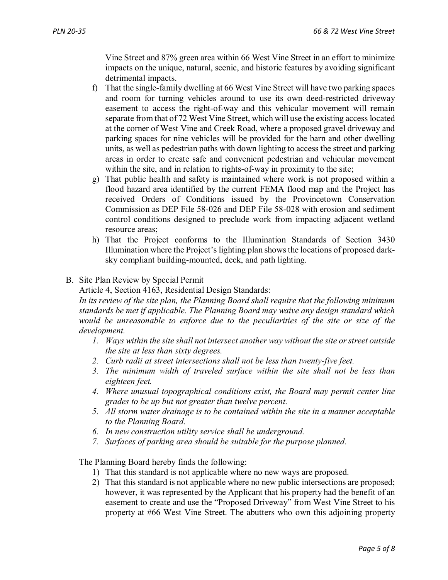Vine Street and 87% green area within 66 West Vine Street in an effort to minimize impacts on the unique, natural, scenic, and historic features by avoiding significant detrimental impacts.

- f) That the single-family dwelling at 66 West Vine Street will have two parking spaces and room for turning vehicles around to use its own deed-restricted driveway easement to access the right-of-way and this vehicular movement will remain separate from that of 72 West Vine Street, which will use the existing access located at the corner of West Vine and Creek Road, where a proposed gravel driveway and parking spaces for nine vehicles will be provided for the barn and other dwelling units, as well as pedestrian paths with down lighting to access the street and parking areas in order to create safe and convenient pedestrian and vehicular movement within the site, and in relation to rights-of-way in proximity to the site;
- g) That public health and safety is maintained where work is not proposed within a flood hazard area identified by the current FEMA flood map and the Project has received Orders of Conditions issued by the Provincetown Conservation Commission as DEP File 58-026 and DEP File 58-028 with erosion and sediment control conditions designed to preclude work from impacting adjacent wetland resource areas;
- h) That the Project conforms to the Illumination Standards of Section 3430 Illumination where the Project's lighting plan shows the locations of proposed darksky compliant building-mounted, deck, and path lighting.
- B. Site Plan Review by Special Permit

Article 4, Section 4163, Residential Design Standards:

*In its review of the site plan, the Planning Board shall require that the following minimum standards be met if applicable. The Planning Board may waive any design standard which would be unreasonable to enforce due to the peculiarities of the site or size of the development.*

- *1. Ways within the site shall not intersect another way without the site or street outside the site at less than sixty degrees.*
- *2. Curb radii at street intersections shall not be less than twenty-five feet.*
- *3. The minimum width of traveled surface within the site shall not be less than eighteen feet.*
- *4. Where unusual topographical conditions exist, the Board may permit center line grades to be up but not greater than twelve percent.*
- *5. All storm water drainage is to be contained within the site in a manner acceptable to the Planning Board.*
- *6. In new construction utility service shall be underground.*
- *7. Surfaces of parking area should be suitable for the purpose planned.*

The Planning Board hereby finds the following:

- 1) That this standard is not applicable where no new ways are proposed.
- 2) That this standard is not applicable where no new public intersections are proposed; however, it was represented by the Applicant that his property had the benefit of an easement to create and use the "Proposed Driveway" from West Vine Street to his property at #66 West Vine Street. The abutters who own this adjoining property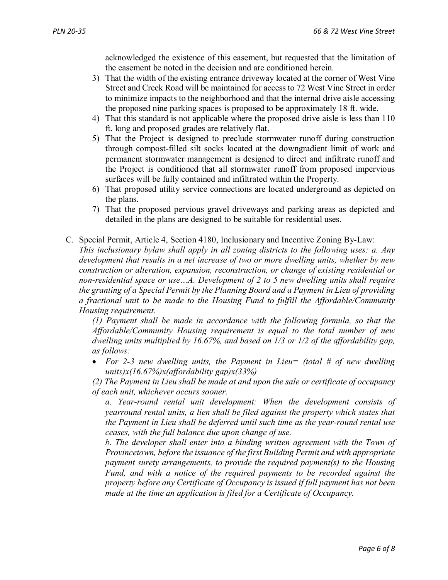acknowledged the existence of this easement, but requested that the limitation of the easement be noted in the decision and are conditioned herein.

- 3) That the width of the existing entrance driveway located at the corner of West Vine Street and Creek Road will be maintained for access to 72 West Vine Street in order to minimize impacts to the neighborhood and that the internal drive aisle accessing the proposed nine parking spaces is proposed to be approximately 18 ft. wide.
- 4) That this standard is not applicable where the proposed drive aisle is less than 110 ft. long and proposed grades are relatively flat.
- 5) That the Project is designed to preclude stormwater runoff during construction through compost-filled silt socks located at the downgradient limit of work and permanent stormwater management is designed to direct and infiltrate runoff and the Project is conditioned that all stormwater runoff from proposed impervious surfaces will be fully contained and infiltrated within the Property.
- 6) That proposed utility service connections are located underground as depicted on the plans.
- 7) That the proposed pervious gravel driveways and parking areas as depicted and detailed in the plans are designed to be suitable for residential uses.
- C. Special Permit, Article 4, Section 4180, Inclusionary and Incentive Zoning By-Law: *This inclusionary bylaw shall apply in all zoning districts to the following uses: a. Any development that results in a net increase of two or more dwelling units, whether by new construction or alteration, expansion, reconstruction, or change of existing residential or non-residential space or use…A. Development of 2 to 5 new dwelling units shall require the granting of a Special Permit by the Planning Board and a Payment in Lieu of providing a fractional unit to be made to the Housing Fund to fulfill the Affordable/Community Housing requirement.*

*(1) Payment shall be made in accordance with the following formula, so that the Affordable/Community Housing requirement is equal to the total number of new dwelling units multiplied by 16.67%, and based on 1/3 or 1/2 of the affordability gap, as follows:*

• *For 2-3 new dwelling units, the Payment in Lieu= (total # of new dwelling units)x(16.67%)x(affordability gap)x(33%)*

*(2) The Payment in Lieu shall be made at and upon the sale or certificate of occupancy of each unit, whichever occurs sooner.*

*a. Year-round rental unit development: When the development consists of yearround rental units, a lien shall be filed against the property which states that the Payment in Lieu shall be deferred until such time as the year-round rental use ceases, with the full balance due upon change of use.*

*b. The developer shall enter into a binding written agreement with the Town of Provincetown, before the issuance of the first Building Permit and with appropriate payment surety arrangements, to provide the required payment(s) to the Housing Fund, and with a notice of the required payments to be recorded against the property before any Certificate of Occupancy is issued if full payment has not been made at the time an application is filed for a Certificate of Occupancy.*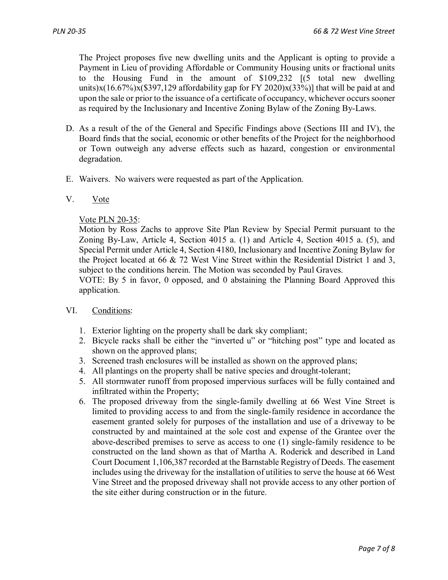The Project proposes five new dwelling units and the Applicant is opting to provide a Payment in Lieu of providing Affordable or Community Housing units or fractional units to the Housing Fund in the amount of \$109,232 [(5 total new dwelling units)x(16.67%)x(\$397,129 affordability gap for FY 2020)x(33%)] that will be paid at and upon the sale or prior to the issuance of a certificate of occupancy, whichever occurs sooner as required by the Inclusionary and Incentive Zoning Bylaw of the Zoning By-Laws.

- D. As a result of the of the General and Specific Findings above (Sections III and IV), the Board finds that the social, economic or other benefits of the Project for the neighborhood or Town outweigh any adverse effects such as hazard, congestion or environmental degradation.
- E. Waivers. No waivers were requested as part of the Application.

### V. Vote

Vote PLN 20-35:

Motion by Ross Zachs to approve Site Plan Review by Special Permit pursuant to the Zoning By-Law, Article 4, Section 4015 a. (1) and Article 4, Section 4015 a. (5), and Special Permit under Article 4, Section 4180, Inclusionary and Incentive Zoning Bylaw for the Project located at 66 & 72 West Vine Street within the Residential District 1 and 3, subject to the conditions herein. The Motion was seconded by Paul Graves.

VOTE: By 5 in favor, 0 opposed, and 0 abstaining the Planning Board Approved this application.

#### VI. Conditions:

- 1. Exterior lighting on the property shall be dark sky compliant;
- 2. Bicycle racks shall be either the "inverted u" or "hitching post" type and located as shown on the approved plans;
- 3. Screened trash enclosures will be installed as shown on the approved plans;
- 4. All plantings on the property shall be native species and drought-tolerant;
- 5. All stormwater runoff from proposed impervious surfaces will be fully contained and infiltrated within the Property;
- 6. The proposed driveway from the single-family dwelling at 66 West Vine Street is limited to providing access to and from the single-family residence in accordance the easement granted solely for purposes of the installation and use of a driveway to be constructed by and maintained at the sole cost and expense of the Grantee over the above-described premises to serve as access to one (1) single-family residence to be constructed on the land shown as that of Martha A. Roderick and described in Land Court Document 1,106,387 recorded at the Barnstable Registry of Deeds. The easement includes using the driveway for the installation of utilities to serve the house at 66 West Vine Street and the proposed driveway shall not provide access to any other portion of the site either during construction or in the future.